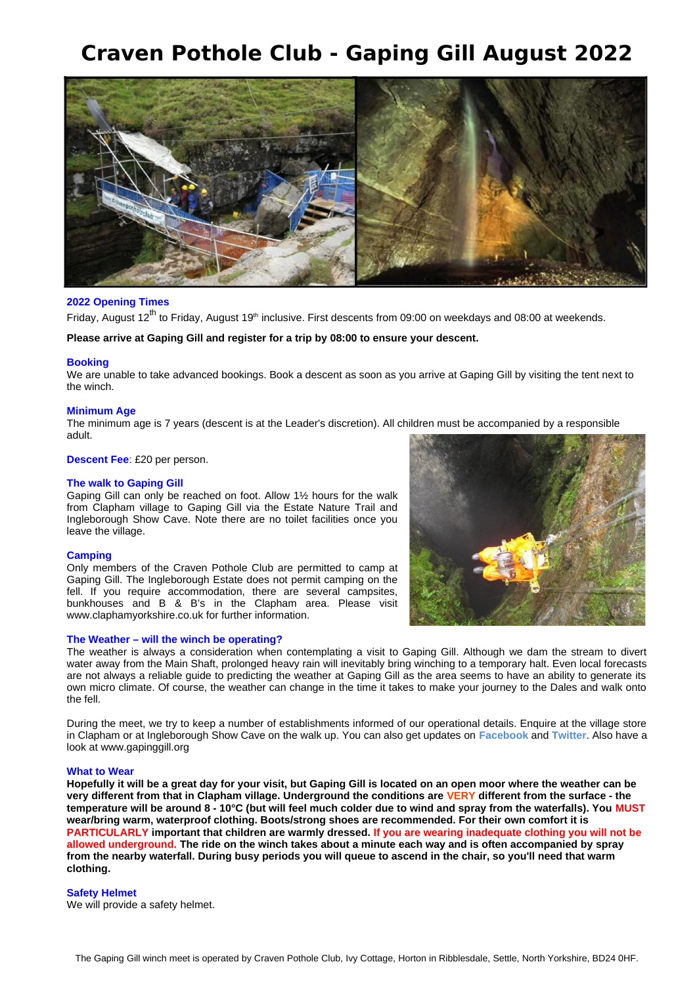# **Craven Pothole Club - Gaping Gill August 2022**



# **2022 Opening Times**

Friday, August  $12^{th}$  to Friday, August  $19^{th}$  inclusive. First descents from 09:00 on weekdays and 08:00 at weekends.

**Please arrive at Gaping Gill and register for a trip by 08:00 to ensure your descent.**

#### **Booking**

We are unable to take advanced bookings. Book a descent as soon as you arrive at Gaping Gill by visiting the tent next to the winch.

#### **Minimum Age**

The minimum age is 7 years (descent is at the Leader's discretion). All children must be accompanied by a responsible adult.

#### **Descent Fee**: £20 per person.

#### **The walk to Gaping Gill**

Gaping Gill can only be reached on foot. Allow 1½ hours for the walk from Clapham village to Gaping Gill via the Estate Nature Trail and Ingleborough Show Cave. Note there are no toilet facilities once you leave the village.

#### **Camping**

Only members of the Craven Pothole Club are permitted to camp at Gaping Gill. The Ingleborough Estate does not permit camping on the fell. If you require accommodation, there are several campsites, bunkhouses and B & B's in the Clapham area. Please visit www.claphamyorkshire.co.uk for further information.

#### **The Weather – will the winch be operating?**



The weather is always a consideration when contemplating a visit to Gaping Gill. Although we dam the stream to divert water away from the Main Shaft, prolonged heavy rain will inevitably bring winching to a temporary halt. Even local forecasts are not always a reliable guide to predicting the weather at Gaping Gill as the area seems to have an ability to generate its own micro climate. Of course, the weather can change in the time it takes to make your journey to the Dales and walk onto the fell.

During the meet, we try to keep a number of establishments informed of our operational details. Enquire at the village store in Clapham or at Ingleborough Show Cave on the walk up. You can also get updates on **Facebook** and **Twitter**. Also have a look at www.gapinggill.org

#### **What to Wear**

**Hopefully it will be a great day for your visit, but Gaping Gill is located on an open moor where the weather can be very different from that in Clapham village. Underground the conditions are VERY different from the surface - the temperature will be around 8 - 10°C (but will feel much colder due to wind and spray from the waterfalls). You MUST wear/bring warm, waterproof clothing. Boots/strong shoes are recommended. For their own comfort it is PARTICULARLY important that children are warmly dressed. If you are wearing inadequate clothing you will not be allowed underground. The ride on the winch takes about a minute each way and is often accompanied by spray from the nearby waterfall. During busy periods you will queue to ascend in the chair, so you'll need that warm clothing.**

#### **Safety Helmet**

We will provide a safety helmet.